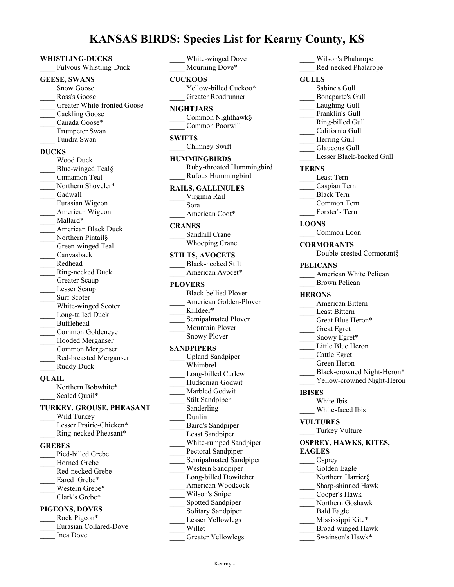# **KANSAS BIRDS: Species List for Kearny County, KS**

#### **WHISTLING-DUCKS**

Fulvous Whistling-Duck

#### **GEESE, SWANS**

- Snow Goose
- Ross's Goose
- Greater White-fronted Goose
- Cackling Goose
- Canada Goose\*
- Trumpeter Swan
- \_\_\_\_ Tundra Swan

#### **DUCKS**

\_\_\_\_ Wood Duck Blue-winged Teal§ \_\_\_\_ Cinnamon Teal Northern Shoveler\* Gadwall \_\_\_\_ Eurasian Wigeon American Wigeon  $\operatorname{Maliard*}$ \_\_\_\_ American Black Duck Northern Pintail§ Green-winged Teal \_\_\_\_ Canvasback \_\_\_\_ Redhead \_\_\_\_ Ring-necked Duck Greater Scaup Lesser Scaup Surf Scoter White-winged Scoter Long-tailed Duck \_\_\_\_ Bufflehead \_\_\_\_ Common Goldeneye \_\_\_\_ Hooded Merganser \_\_\_\_ Common Merganser \_\_\_\_ Red-breasted Merganser Ruddy Duck

### **QUAIL**

Northern Bobwhite\* Scaled Quail\*

# **TURKEY, GROUSE, PHEASANT**

- Wild Turkey Lesser Prairie-Chicken\* \_\_\_\_ Ring-necked Pheasant\* **GREBES** Pied-billed Grebe Horned Grebe \_\_\_\_ Red-necked Grebe Eared Grebe\* Western Grebe\* Clark's Grebe\* **PIGEONS, DOVES** Rock Pigeon\* \_\_\_\_ Eurasian Collared-Dove
- \_\_\_\_ Inca Dove

\_\_\_\_ White-winged Dove Mourning Dove\*

#### **CUCKOOS**

Yellow-billed Cuckoo\* \_\_\_\_ Greater Roadrunner

#### **NIGHTJARS**

\_\_\_\_ Common Nighthawk§ \_\_\_\_ Common Poorwill

#### **SWIFTS**

\_\_\_\_ Chimney Swift

# **HUMMINGBIRDS**

\_\_\_\_ Ruby-throated Hummingbird \_\_\_\_ Rufous Hummingbird

### **RAILS, GALLINULES**

- \_\_\_\_ Virginia Rail \_\_\_\_ Sora
- American Coot\*

# **CRANES**

| Sandhill Crane        |
|-----------------------|
| <b>Whooping Crane</b> |

# **STILTS, AVOCETS**

| Black-necked Stilt |
|--------------------|
| American Avocet*   |

#### **PLOVERS**

- \_\_\_\_ Black-bellied Plover American Golden-Plover Killdeer\* Semipalmated Plover \_\_\_\_ Mountain Plover Snowy Plover **SANDPIPERS** Upland Sandpiper \_\_\_\_ Whimbrel Long-billed Curlew \_\_\_\_ Hudsonian Godwit Marbled Godwit Stilt Sandpiper Sanderling \_\_\_\_ Dunlin \_\_\_\_ Baird's Sandpiper Least Sandpiper \_\_\_\_ White-rumped Sandpiper Pectoral Sandpiper Semipalmated Sandpiper \_\_\_\_ Western Sandpiper Long-billed Dowitcher \_\_\_\_ American Woodcock Wilson's Snipe \_\_\_\_ Spotted Sandpiper Solitary Sandpiper Lesser Yellowlegs
- \_\_\_\_ Willet
	- Greater Yellowlegs
- \_\_\_\_ Red-necked Phalarope **GULLS** Sabine's Gull \_\_\_\_ Bonaparte's Gull Laughing Gull Franklin's Gull \_\_\_\_ Ring-billed Gull \_\_\_\_ California Gull Herring Gull Glaucous Gull Lesser Black-backed Gull **TERNS** \_\_\_\_ Least Tern \_\_\_\_ Caspian Tern \_\_\_\_ Black Tern \_\_\_\_ Common Tern Forster's Tern **LOONS** Common Loon **CORMORANTS** Double-crested Cormorant§ **PELICANS** American White Pelican Brown Pelican **HERONS** \_\_\_\_ American Bittern Least Bittern Great Blue Heron\* \_\_\_\_ Great Egret Snowy Egret\* Little Blue Heron \_\_\_\_ Cattle Egret \_\_\_\_ Green Heron Black-crowned Night-Heron\* Yellow-crowned Night-Heron **IBISES** \_\_\_\_ White Ibis White-faced Ibis **VULTURES** Turkey Vulture **OSPREY, HAWKS, KITES, EAGLES** Osprey Golden Eagle Northern Harrier§ Sharp-shinned Hawk \_\_\_\_ Cooper's Hawk \_\_\_\_ Northern Goshawk \_\_\_\_ Bald Eagle

\_\_\_\_ Wilson's Phalarope

- Mississippi Kite\*
- \_\_\_\_ Broad-winged Hawk
- Swainson's Hawk\*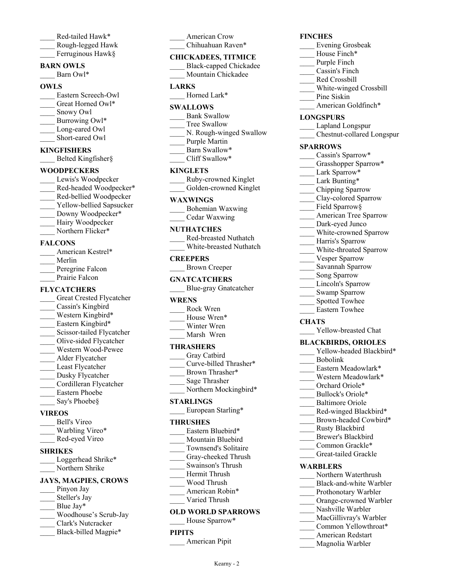- Red-tailed Hawk\* \_\_\_\_ Rough-legged Hawk
- Ferruginous Hawk§

### **BARN OWLS**

Barn Owl\*

### **OWLS**

| Eastern Screech-Owl |
|---------------------|
| Great Horned Owl*   |
| Snowy Owl           |
| Burrowing Owl*      |
| Long-eared Owl      |
| Short-eared Owl     |

# **KINGFISHERS**

Belted Kingfisher§

# **WOODPECKERS**

Lewis's Woodpecker Red-headed Woodpecker\* \_\_\_\_ Red-bellied Woodpecker Yellow-bellied Sapsucker Downy Woodpecker\* Hairy Woodpecker Northern Flicker\*

### **FALCONS**

| American Kestrel* |
|-------------------|
| Merlin            |
| Peregrine Falcon  |
| Prairie Falcon    |

# **FLYCATCHERS**

| Great Crested Flycatcher  |
|---------------------------|
| Cassin's Kingbird         |
| Western Kingbird*         |
| Eastern Kingbird*         |
| Scissor-tailed Flycatcher |
| Olive-sided Flycatcher    |
| Western Wood-Pewee        |
| Alder Flycatcher          |
| Least Flycatcher          |
| Dusky Flycatcher          |
| Cordilleran Flycatcher    |
| <b>Eastern Phoebe</b>     |
| Say's Phoebe§             |
|                           |

# **VIREOS**

| Bell's Vireo    |
|-----------------|
| Warbling Vireo* |
| Red-eyed Vireo  |

# **SHRIKES**

| Loggerhead Shrike* |
|--------------------|
| Northern Shrike    |

# **JAYS, MAGPIES, CROWS**

- Pinyon Jay
- Steller's Jay
- Blue Jay\*
- \_\_\_\_ Woodhouse's Scrub-Jay \_\_\_\_ Clark's Nutcracker
- Black-billed Magpie\*
- 

American Crow Chihuahuan Raven\*

# **CHICKADEES, TITMICE**

\_\_\_\_ Black-capped Chickadee Mountain Chickadee

# **LARKS**

Horned Lark\*

# **SWALLOWS**

- Bank Swallow
- Tree Swallow
- N. Rough-winged Swallow
- Purple Martin Barn Swallow\*
- \_\_\_\_ Cliff Swallow\*

# **KINGLETS**

| Ruby-crowned Kinglet   |
|------------------------|
| Golden-crowned Kinglet |

### **WAXWINGS**

| Bohemian Waxwing |
|------------------|
| Cedar Waxwing    |

### **NUTHATCHES**

| Red-breasted Nuthatch   |
|-------------------------|
| White-breasted Nuthatch |

### **CREEPERS**

# \_\_\_\_ Brown Creeper

# **GNATCATCHERS**

\_\_\_\_ Blue-gray Gnatcatcher

# **WRENS**

- \_\_\_\_ Rock Wren
- House Wren\*
- Winter Wren Marsh Wren
- 

# **THRASHERS**

- Gray Catbird
- \_\_\_\_ Curve-billed Thrasher\*
- Brown Thrasher\*
- \_\_\_\_ Sage Thrasher
- Northern Mockingbird\*

# **STARLINGS**

European Starling\*

#### **THRUSHES**

- Eastern Bluebird\*
- Mountain Bluebird
- Townsend's Solitaire Gray-cheeked Thrush
- \_\_\_\_ Swainson's Thrush
- \_\_\_\_ Hermit Thrush
- \_\_\_\_ Wood Thrush
- American Robin\*
- \_\_\_\_ Varied Thrush

# **OLD WORLD SPARROWS**

Kearny - 2

House Sparrow\*

# **PIPITS**

American Pipit

# **FINCHES**

- \_\_\_\_ Evening Grosbeak
- House Finch\*
- Purple Finch
- \_\_\_\_ Cassin's Finch
- \_\_\_\_ Red Crossbill
- \_\_\_\_ White-winged Crossbill
- Pine Siskin American Goldfinch\*
- 

# **LONGSPURS**

- \_\_\_\_ Lapland Longspur
- \_\_\_\_ Chestnut-collared Longspur

## **SPARROWS**

- Cassin's Sparrow\*
- Grasshopper Sparrow\*
- Lark Sparrow\*
- Lark Bunting\*
- \_\_\_\_ Chipping Sparrow
- \_\_\_\_ Clay-colored Sparrow
- Field Sparrow§
- \_\_\_\_ American Tree Sparrow
- Dark-eyed Junco
- White-crowned Sparrow
- Harris's Sparrow
- White-throated Sparrow

Swamp Sparrow Spotted Towhee \_\_\_\_ Eastern Towhee

Yellow-breasted Chat **BLACKBIRDS, ORIOLES**

> Eastern Meadowlark\* Western Meadowlark\* Orchard Oriole\* Bullock's Oriole\* Baltimore Oriole Red-winged Blackbird\* Brown-headed Cowbird\*

\_\_\_\_ Rusty Blackbird Brewer's Blackbird Common Grackle\* \_\_\_\_ Great-tailed Grackle

Northern Waterthrush Black-and-white Warbler Prothonotary Warbler Orange-crowned Warbler Nashville Warbler MacGillivray's Warbler Common Yellowthroat\* \_\_\_\_ American Redstart Magnolia Warbler

**WARBLERS**

Yellow-headed Blackbird\*

- Vesper Sparrow
- Savannah Sparrow
- Song Sparrow Lincoln's Sparrow

\_\_\_\_ Bobolink

**CHATS**